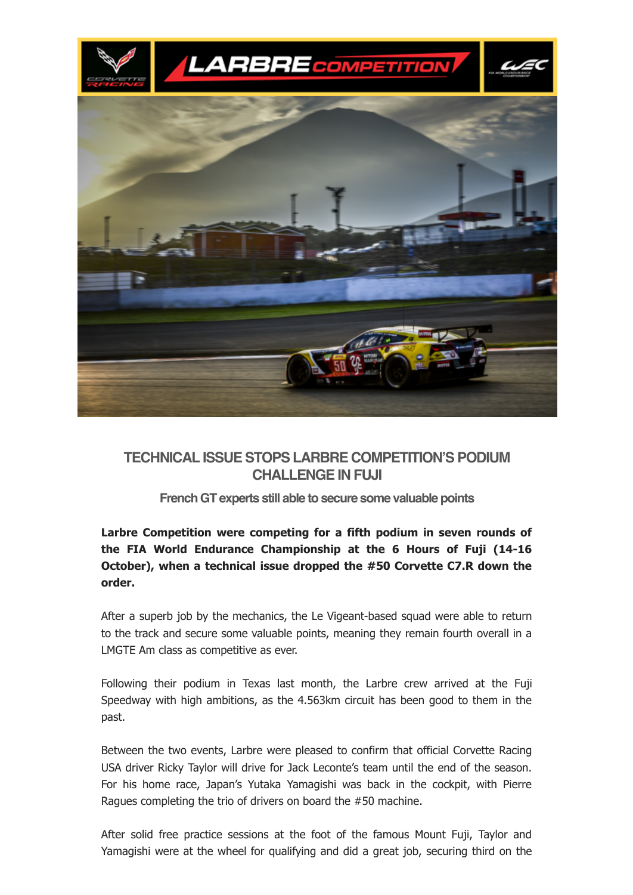

# **TECHNICAL ISSUE STOPS LARBRE COMPETITION'S PODIUM CHALLENGE IN FUJI**

#### **FrenchGT experts still able to secure some valuable points**

## **Larbre Competition were competing for a fifth podium in seven rounds of the FIA World Endurance Championship at the 6 Hours of Fuji (1416 October), when a technical issue dropped the #50 Corvette C7.R down the order.**

After a superb job by the mechanics, the Le Vigeant-based squad were able to return to the track and secure some valuable points, meaning they remain fourth overall in a LMGTE Am class as competitive as ever.

Following their podium in Texas last month, the Larbre crew arrived at the Fuji Speedway with high ambitions, as the 4.563km circuit has been good to them in the past.

Between the two events, Larbre were pleased to confirm that official Corvette Racing USA driver Ricky Taylor will drive for Jack Leconte's team until the end of the season. For his home race, Japan's Yutaka Yamagishi was back in the cockpit, with Pierre Ragues completing the trio of drivers on board the #50 machine.

After solid free practice sessions at the foot of the famous Mount Fuji, Taylor and Yamagishi were at the wheel for qualifying and did a great job, securing third on the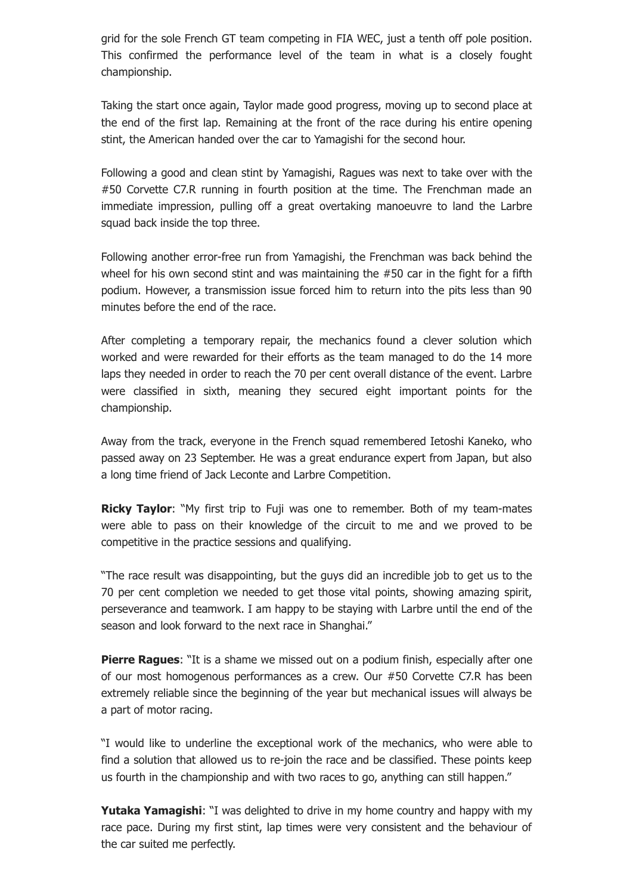grid for the sole French GT team competing in FIA WEC, just a tenth off pole position. This confirmed the performance level of the team in what is a closely fought championship.

Taking the start once again, Taylor made good progress, moving up to second place at the end of the first lap. Remaining at the front of the race during his entire opening stint, the American handed over the car to Yamagishi for the second hour.

Following a good and clean stint by Yamagishi, Ragues was next to take over with the #50 Corvette C7.R running in fourth position at the time. The Frenchman made an immediate impression, pulling off a great overtaking manoeuvre to land the Larbre squad back inside the top three.

Following another error-free run from Yamagishi, the Frenchman was back behind the wheel for his own second stint and was maintaining the #50 car in the fight for a fifth podium. However, a transmission issue forced him to return into the pits less than 90 minutes before the end of the race.

After completing a temporary repair, the mechanics found a clever solution which worked and were rewarded for their efforts as the team managed to do the 14 more laps they needed in order to reach the 70 per cent overall distance of the event. Larbre were classified in sixth, meaning they secured eight important points for the championship.

Away from the track, everyone in the French squad remembered Ietoshi Kaneko, who passed away on 23 September. He was a great endurance expert from Japan, but also a long time friend of Jack Leconte and Larbre Competition.

**Ricky Taylor**: "My first trip to Fuji was one to remember. Both of my team-mates were able to pass on their knowledge of the circuit to me and we proved to be competitive in the practice sessions and qualifying.

"The race result was disappointing, but the guys did an incredible job to get us to the 70 per cent completion we needed to get those vital points, showing amazing spirit, perseverance and teamwork. I am happy to be staying with Larbre until the end of the season and look forward to the next race in Shanghai."

**Pierre Ragues:** "It is a shame we missed out on a podium finish, especially after one of our most homogenous performances as a crew. Our #50 Corvette C7.R has been extremely reliable since the beginning of the year but mechanical issues will always be a part of motor racing.

"I would like to underline the exceptional work of the mechanics, who were able to find a solution that allowed us to re-join the race and be classified. These points keep us fourth in the championship and with two races to go, anything can still happen."

**Yutaka Yamagishi**: "I was delighted to drive in my home country and happy with my race pace. During my first stint, lap times were very consistent and the behaviour of the car suited me perfectly.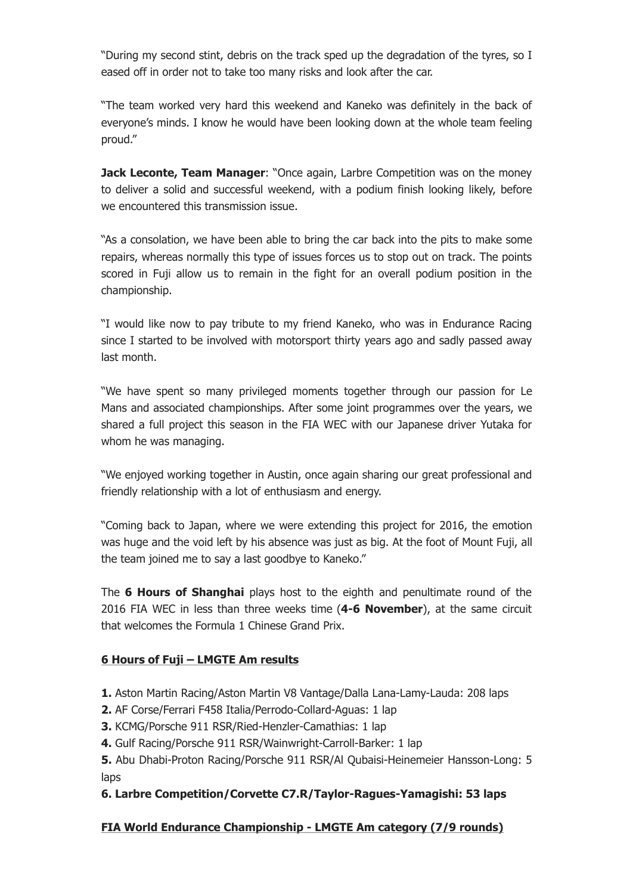"During my second stint, debris on the track sped up the degradation of the tyres, so I eased off in order not to take too many risks and look after the car.

"The team worked very hard this weekend and Kaneko was definitely in the back of everyone's minds. I know he would have been looking down at the whole team feeling proud."

**Jack Leconte, Team Manager**: "Once again, Larbre Competition was on the money to deliver a solid and successful weekend, with a podium finish looking likely, before we encountered this transmission issue.

"As a consolation, we have been able to bring the car back into the pits to make some repairs, whereas normally this type of issues forces us to stop out on track. The points scored in Fuji allow us to remain in the fight for an overall podium position in the championship.

"I would like now to pay tribute to my friend Kaneko, who was in Endurance Racing since I started to be involved with motorsport thirty years ago and sadly passed away last month.

"We have spent so many privileged moments together through our passion for Le Mans and associated championships. After some joint programmes over the years, we shared a full project this season in the FIA WEC with our Japanese driver Yutaka for whom he was managing.

"We enjoyed working together in Austin, once again sharing our great professional and friendly relationship with a lot of enthusiasm and energy.

"Coming back to Japan, where we were extending this project for 2016, the emotion was huge and the void left by his absence was just as big. At the foot of Mount Fuji, all the team joined me to say a last goodbye to Kaneko."

The **6 Hours of Shanghai** plays host to the eighth and penultimate round of the 2016 FIA WEC in less than three weeks time (**46 November**), at the same circuit that welcomes the Formula 1 Chinese Grand Prix.

#### **6 Hours of Fuji – LMGTE Am results**

- **1.** Aston Martin Racing/Aston Martin V8 Vantage/Dalla Lana-Lamy-Lauda: 208 laps
- **2.** AF Corse/Ferrari F458 Italia/Perrodo-Collard-Aguas: 1 lap
- **3.** KCMG/Porsche 911 RSR/Ried-Henzler-Camathias: 1 lap
- 4. Gulf Racing/Porsche 911 RSR/Wainwright-Carroll-Barker: 1 lap
- **5.** Abu Dhabi-Proton Racing/Porsche 911 RSR/Al Qubaisi-Heinemeier Hansson-Long: 5 laps

## **6. Larbre Competition/Corvette C7.R/Taylor-Ragues-Yamagishi: 53 laps**

## **FIA World Endurance Championship LMGTE Am category (7/9 rounds)**